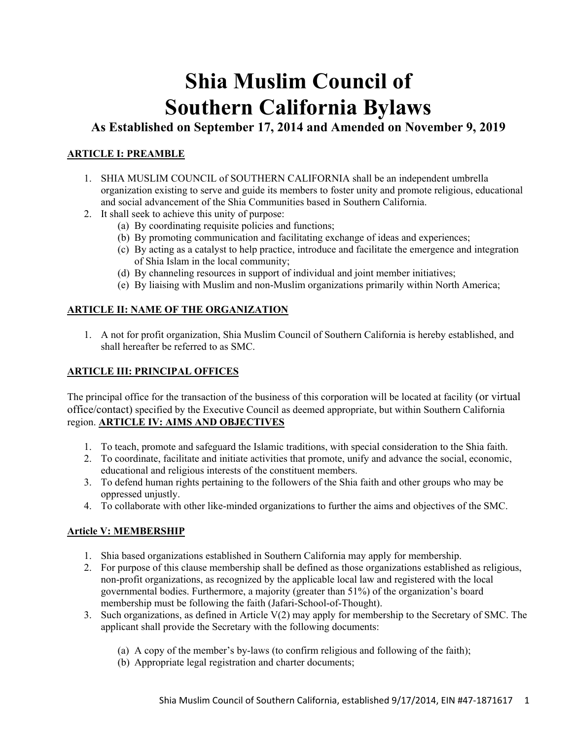# **Shia Muslim Council of Southern California Bylaws**

**As Established on September 17, 2014 and Amended on November 9, 2019** 

# **ARTICLE I: PREAMBLE**

- 1. SHIA MUSLIM COUNCIL of SOUTHERN CALIFORNIA shall be an independent umbrella organization existing to serve and guide its members to foster unity and promote religious, educational and social advancement of the Shia Communities based in Southern California.
- 2. It shall seek to achieve this unity of purpose:
	- (a) By coordinating requisite policies and functions;
	- (b) By promoting communication and facilitating exchange of ideas and experiences;
	- (c) By acting as a catalyst to help practice, introduce and facilitate the emergence and integration of Shia Islam in the local community;
	- (d) By channeling resources in support of individual and joint member initiatives;
	- (e) By liaising with Muslim and non-Muslim organizations primarily within North America;

# **ARTICLE II: NAME OF THE ORGANIZATION**

1. A not for profit organization, Shia Muslim Council of Southern California is hereby established, and shall hereafter be referred to as SMC.

# **ARTICLE III: PRINCIPAL OFFICES**

The principal office for the transaction of the business of this corporation will be located at facility (or virtual office/contact) specified by the Executive Council as deemed appropriate, but within Southern California region. **ARTICLE IV: AIMS AND OBJECTIVES** 

- 1. To teach, promote and safeguard the Islamic traditions, with special consideration to the Shia faith.
- 2. To coordinate, facilitate and initiate activities that promote, unify and advance the social, economic, educational and religious interests of the constituent members.
- 3. To defend human rights pertaining to the followers of the Shia faith and other groups who may be oppressed unjustly.
- 4. To collaborate with other like-minded organizations to further the aims and objectives of the SMC.

# **Article V: MEMBERSHIP**

- 1. Shia based organizations established in Southern California may apply for membership.
- 2. For purpose of this clause membership shall be defined as those organizations established as religious, non-profit organizations, as recognized by the applicable local law and registered with the local governmental bodies. Furthermore, a majority (greater than 51%) of the organization's board membership must be following the faith (Jafari-School-of-Thought).
- 3. Such organizations, as defined in Article V(2) may apply for membership to the Secretary of SMC. The applicant shall provide the Secretary with the following documents:
	- (a) A copy of the member's by-laws (to confirm religious and following of the faith);
	- (b) Appropriate legal registration and charter documents;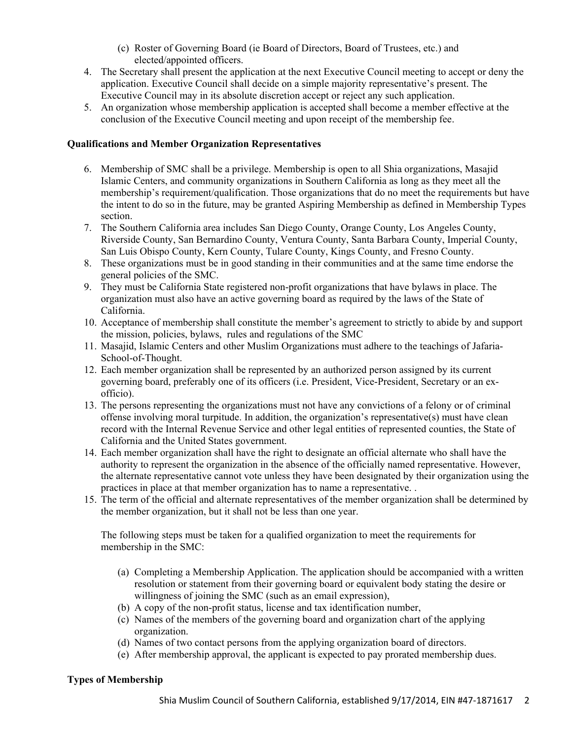- (c) Roster of Governing Board (ie Board of Directors, Board of Trustees, etc.) and elected/appointed officers.
- 4. The Secretary shall present the application at the next Executive Council meeting to accept or deny the application. Executive Council shall decide on a simple majority representative's present. The Executive Council may in its absolute discretion accept or reject any such application.
- 5. An organization whose membership application is accepted shall become a member effective at the conclusion of the Executive Council meeting and upon receipt of the membership fee.

#### **Qualifications and Member Organization Representatives**

- 6. Membership of SMC shall be a privilege. Membership is open to all Shia organizations, Masajid Islamic Centers, and community organizations in Southern California as long as they meet all the membership's requirement/qualification. Those organizations that do no meet the requirements but have the intent to do so in the future, may be granted Aspiring Membership as defined in Membership Types section.
- 7. The Southern California area includes San Diego County, Orange County, Los Angeles County, Riverside County, San Bernardino County, Ventura County, Santa Barbara County, Imperial County, San Luis Obispo County, Kern County, Tulare County, Kings County, and Fresno County.
- 8. These organizations must be in good standing in their communities and at the same time endorse the general policies of the SMC.
- 9. They must be California State registered non-profit organizations that have bylaws in place. The organization must also have an active governing board as required by the laws of the State of California.
- 10. Acceptance of membership shall constitute the member's agreement to strictly to abide by and support the mission, policies, bylaws, rules and regulations of the SMC
- 11. Masajid, Islamic Centers and other Muslim Organizations must adhere to the teachings of Jafaria-School-of-Thought.
- 12. Each member organization shall be represented by an authorized person assigned by its current governing board, preferably one of its officers (i.e. President, Vice-President, Secretary or an exofficio).
- 13. The persons representing the organizations must not have any convictions of a felony or of criminal offense involving moral turpitude. In addition, the organization's representative(s) must have clean record with the Internal Revenue Service and other legal entities of represented counties, the State of California and the United States government.
- 14. Each member organization shall have the right to designate an official alternate who shall have the authority to represent the organization in the absence of the officially named representative. However, the alternate representative cannot vote unless they have been designated by their organization using the practices in place at that member organization has to name a representative. .
- 15. The term of the official and alternate representatives of the member organization shall be determined by the member organization, but it shall not be less than one year.

The following steps must be taken for a qualified organization to meet the requirements for membership in the SMC:

- (a) Completing a Membership Application. The application should be accompanied with a written resolution or statement from their governing board or equivalent body stating the desire or willingness of joining the SMC (such as an email expression),
- (b) A copy of the non-profit status, license and tax identification number,
- (c) Names of the members of the governing board and organization chart of the applying organization.
- (d) Names of two contact persons from the applying organization board of directors.
- (e) After membership approval, the applicant is expected to pay prorated membership dues.

#### **Types of Membership**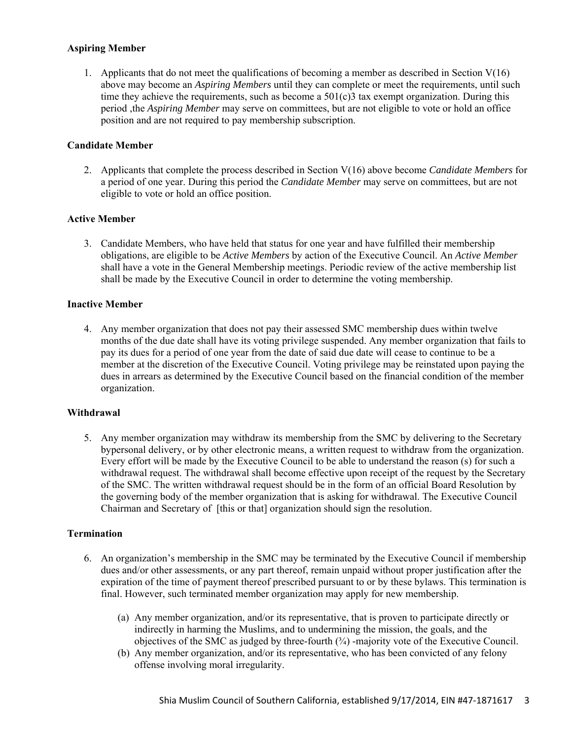#### **Aspiring Member**

1. Applicants that do not meet the qualifications of becoming a member as described in Section  $V(16)$ above may become an *Aspiring Members* until they can complete or meet the requirements, until such time they achieve the requirements, such as become a  $501(c)3$  tax exempt organization. During this period ,the *Aspiring Member* may serve on committees, but are not eligible to vote or hold an office position and are not required to pay membership subscription.

## **Candidate Member**

2. Applicants that complete the process described in Section V(16) above become *Candidate Members* for a period of one year. During this period the *Candidate Member* may serve on committees, but are not eligible to vote or hold an office position.

#### **Active Member**

3. Candidate Members, who have held that status for one year and have fulfilled their membership obligations, are eligible to be *Active Members* by action of the Executive Council. An *Active Member*  shall have a vote in the General Membership meetings. Periodic review of the active membership list shall be made by the Executive Council in order to determine the voting membership.

#### **Inactive Member**

4. Any member organization that does not pay their assessed SMC membership dues within twelve months of the due date shall have its voting privilege suspended. Any member organization that fails to pay its dues for a period of one year from the date of said due date will cease to continue to be a member at the discretion of the Executive Council. Voting privilege may be reinstated upon paying the dues in arrears as determined by the Executive Council based on the financial condition of the member organization.

#### **Withdrawal**

5. Any member organization may withdraw its membership from the SMC by delivering to the Secretary bypersonal delivery, or by other electronic means, a written request to withdraw from the organization. Every effort will be made by the Executive Council to be able to understand the reason (s) for such a withdrawal request. The withdrawal shall become effective upon receipt of the request by the Secretary of the SMC. The written withdrawal request should be in the form of an official Board Resolution by the governing body of the member organization that is asking for withdrawal. The Executive Council Chairman and Secretary of [this or that] organization should sign the resolution.

#### **Termination**

- 6. An organization's membership in the SMC may be terminated by the Executive Council if membership dues and/or other assessments, or any part thereof, remain unpaid without proper justification after the expiration of the time of payment thereof prescribed pursuant to or by these bylaws. This termination is final. However, such terminated member organization may apply for new membership.
	- (a) Any member organization, and/or its representative, that is proven to participate directly or indirectly in harming the Muslims, and to undermining the mission, the goals, and the objectives of the SMC as judged by three-fourth  $(\frac{3}{4})$  -majority vote of the Executive Council.
	- (b) Any member organization, and/or its representative, who has been convicted of any felony offense involving moral irregularity.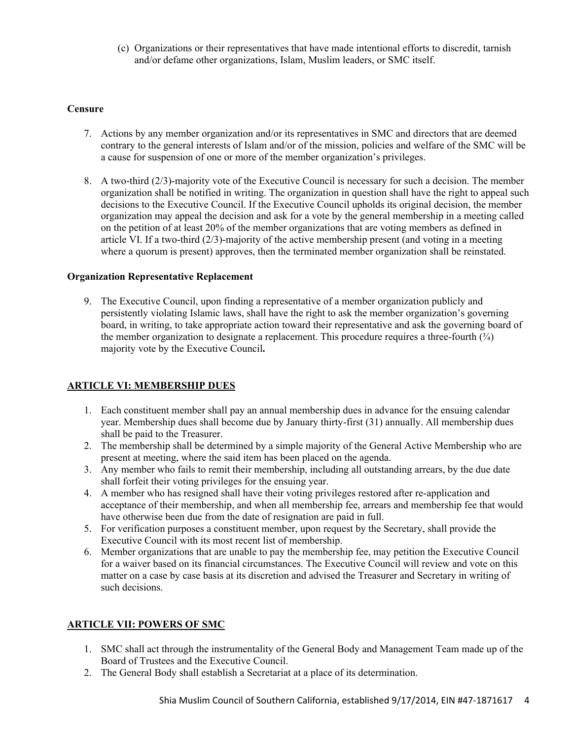(c) Organizations or their representatives that have made intentional efforts to discredit, tarnish and/or defame other organizations, Islam, Muslim leaders, or SMC itself.

#### **Censure**

- 7. Actions by any member organization and/or its representatives in SMC and directors that are deemed contrary to the general interests of Islam and/or of the mission, policies and welfare of the SMC will be a cause for suspension of one or more of the member organization's privileges.
- 8. A two-third (2/3)-majority vote of the Executive Council is necessary for such a decision. The member organization shall be notified in writing. The organization in question shall have the right to appeal such decisions to the Executive Council. If the Executive Council upholds its original decision, the member organization may appeal the decision and ask for a vote by the general membership in a meeting called on the petition of at least 20% of the member organizations that are voting members as defined in article VI. If a two-third (2/3)-majority of the active membership present (and voting in a meeting where a quorum is present) approves, then the terminated member organization shall be reinstated.

#### **Organization Representative Replacement**

9. The Executive Council, upon finding a representative of a member organization publicly and persistently violating Islamic laws, shall have the right to ask the member organization's governing board, in writing, to take appropriate action toward their representative and ask the governing board of the member organization to designate a replacement. This procedure requires a three-fourth  $(\frac{3}{4})$ majority vote by the Executive Council**.**

## **ARTICLE VI: MEMBERSHIP DUES**

- 1. Each constituent member shall pay an annual membership dues in advance for the ensuing calendar year. Membership dues shall become due by January thirty-first (31) annually. All membership dues shall be paid to the Treasurer.
- 2. The membership shall be determined by a simple majority of the General Active Membership who are present at meeting, where the said item has been placed on the agenda.
- 3. Any member who fails to remit their membership, including all outstanding arrears, by the due date shall forfeit their voting privileges for the ensuing year.
- 4. A member who has resigned shall have their voting privileges restored after re-application and acceptance of their membership, and when all membership fee, arrears and membership fee that would have otherwise been due from the date of resignation are paid in full.
- 5. For verification purposes a constituent member, upon request by the Secretary, shall provide the Executive Council with its most recent list of membership.
- 6. Member organizations that are unable to pay the membership fee, may petition the Executive Council for a waiver based on its financial circumstances. The Executive Council will review and vote on this matter on a case by case basis at its discretion and advised the Treasurer and Secretary in writing of such decisions.

## **ARTICLE VII: POWERS OF SMC**

- 1. SMC shall act through the instrumentality of the General Body and Management Team made up of the Board of Trustees and the Executive Council.
- 2. The General Body shall establish a Secretariat at a place of its determination.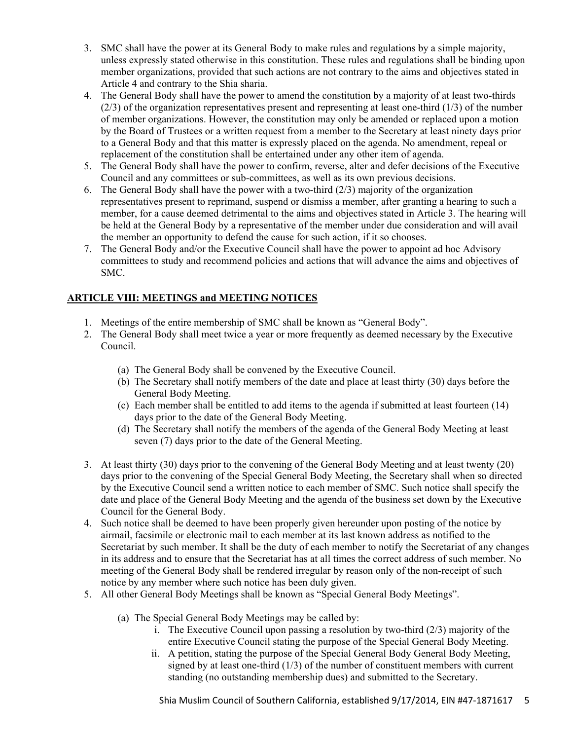- 3. SMC shall have the power at its General Body to make rules and regulations by a simple majority, unless expressly stated otherwise in this constitution. These rules and regulations shall be binding upon member organizations, provided that such actions are not contrary to the aims and objectives stated in Article 4 and contrary to the Shia sharia.
- 4. The General Body shall have the power to amend the constitution by a majority of at least two-thirds (2/3) of the organization representatives present and representing at least one-third (1/3) of the number of member organizations. However, the constitution may only be amended or replaced upon a motion by the Board of Trustees or a written request from a member to the Secretary at least ninety days prior to a General Body and that this matter is expressly placed on the agenda. No amendment, repeal or replacement of the constitution shall be entertained under any other item of agenda.
- 5. The General Body shall have the power to confirm, reverse, alter and defer decisions of the Executive Council and any committees or sub-committees, as well as its own previous decisions.
- 6. The General Body shall have the power with a two-third (2/3) majority of the organization representatives present to reprimand, suspend or dismiss a member, after granting a hearing to such a member, for a cause deemed detrimental to the aims and objectives stated in Article 3. The hearing will be held at the General Body by a representative of the member under due consideration and will avail the member an opportunity to defend the cause for such action, if it so chooses.
- 7. The General Body and/or the Executive Council shall have the power to appoint ad hoc Advisory committees to study and recommend policies and actions that will advance the aims and objectives of SMC.

# **ARTICLE VIII: MEETINGS and MEETING NOTICES**

- 1. Meetings of the entire membership of SMC shall be known as "General Body".
- 2. The General Body shall meet twice a year or more frequently as deemed necessary by the Executive Council.
	- (a) The General Body shall be convened by the Executive Council.
	- (b) The Secretary shall notify members of the date and place at least thirty (30) days before the General Body Meeting.
	- (c) Each member shall be entitled to add items to the agenda if submitted at least fourteen (14) days prior to the date of the General Body Meeting.
	- (d) The Secretary shall notify the members of the agenda of the General Body Meeting at least seven (7) days prior to the date of the General Meeting.
- 3. At least thirty (30) days prior to the convening of the General Body Meeting and at least twenty (20) days prior to the convening of the Special General Body Meeting, the Secretary shall when so directed by the Executive Council send a written notice to each member of SMC. Such notice shall specify the date and place of the General Body Meeting and the agenda of the business set down by the Executive Council for the General Body.
- 4. Such notice shall be deemed to have been properly given hereunder upon posting of the notice by airmail, facsimile or electronic mail to each member at its last known address as notified to the Secretariat by such member. It shall be the duty of each member to notify the Secretariat of any changes in its address and to ensure that the Secretariat has at all times the correct address of such member. No meeting of the General Body shall be rendered irregular by reason only of the non-receipt of such notice by any member where such notice has been duly given.
- 5. All other General Body Meetings shall be known as "Special General Body Meetings".
	- (a) The Special General Body Meetings may be called by:
		- i. The Executive Council upon passing a resolution by two-third (2/3) majority of the entire Executive Council stating the purpose of the Special General Body Meeting.
		- ii. A petition, stating the purpose of the Special General Body General Body Meeting, signed by at least one-third (1/3) of the number of constituent members with current standing (no outstanding membership dues) and submitted to the Secretary.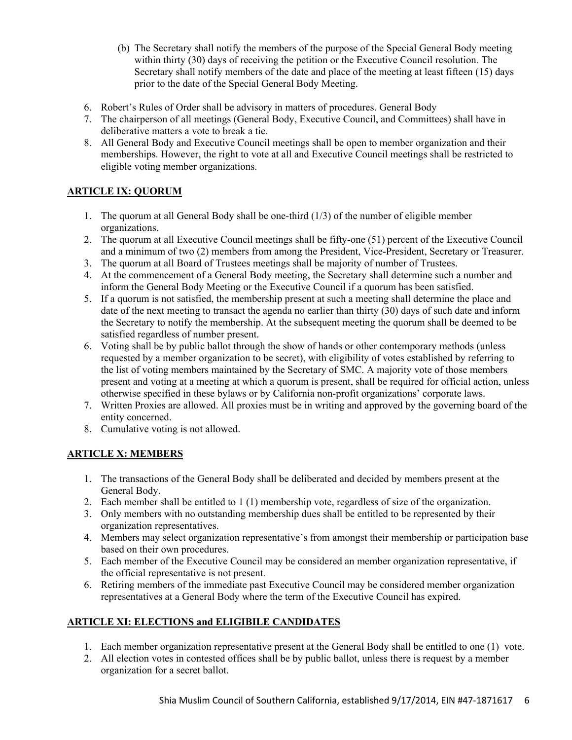- (b) The Secretary shall notify the members of the purpose of the Special General Body meeting within thirty (30) days of receiving the petition or the Executive Council resolution. The Secretary shall notify members of the date and place of the meeting at least fifteen (15) days prior to the date of the Special General Body Meeting.
- 6. Robert's Rules of Order shall be advisory in matters of procedures. General Body
- 7. The chairperson of all meetings (General Body, Executive Council, and Committees) shall have in deliberative matters a vote to break a tie.
- 8. All General Body and Executive Council meetings shall be open to member organization and their memberships. However, the right to vote at all and Executive Council meetings shall be restricted to eligible voting member organizations.

# **ARTICLE IX: QUORUM**

- 1. The quorum at all General Body shall be one-third (1/3) of the number of eligible member organizations.
- 2. The quorum at all Executive Council meetings shall be fifty-one (51) percent of the Executive Council and a minimum of two (2) members from among the President, Vice-President, Secretary or Treasurer.
- 3. The quorum at all Board of Trustees meetings shall be majority of number of Trustees.
- 4. At the commencement of a General Body meeting, the Secretary shall determine such a number and inform the General Body Meeting or the Executive Council if a quorum has been satisfied.
- 5. If a quorum is not satisfied, the membership present at such a meeting shall determine the place and date of the next meeting to transact the agenda no earlier than thirty (30) days of such date and inform the Secretary to notify the membership. At the subsequent meeting the quorum shall be deemed to be satisfied regardless of number present.
- 6. Voting shall be by public ballot through the show of hands or other contemporary methods (unless requested by a member organization to be secret), with eligibility of votes established by referring to the list of voting members maintained by the Secretary of SMC. A majority vote of those members present and voting at a meeting at which a quorum is present, shall be required for official action, unless otherwise specified in these bylaws or by California non-profit organizations' corporate laws.
- 7. Written Proxies are allowed. All proxies must be in writing and approved by the governing board of the entity concerned.
- 8. Cumulative voting is not allowed.

# **ARTICLE X: MEMBERS**

- 1. The transactions of the General Body shall be deliberated and decided by members present at the General Body.
- 2. Each member shall be entitled to 1 (1) membership vote, regardless of size of the organization.
- 3. Only members with no outstanding membership dues shall be entitled to be represented by their organization representatives.
- 4. Members may select organization representative's from amongst their membership or participation base based on their own procedures.
- 5. Each member of the Executive Council may be considered an member organization representative, if the official representative is not present.
- 6. Retiring members of the immediate past Executive Council may be considered member organization representatives at a General Body where the term of the Executive Council has expired.

# **ARTICLE XI: ELECTIONS and ELIGIBILE CANDIDATES**

- 1. Each member organization representative present at the General Body shall be entitled to one (1) vote.
- 2. All election votes in contested offices shall be by public ballot, unless there is request by a member organization for a secret ballot.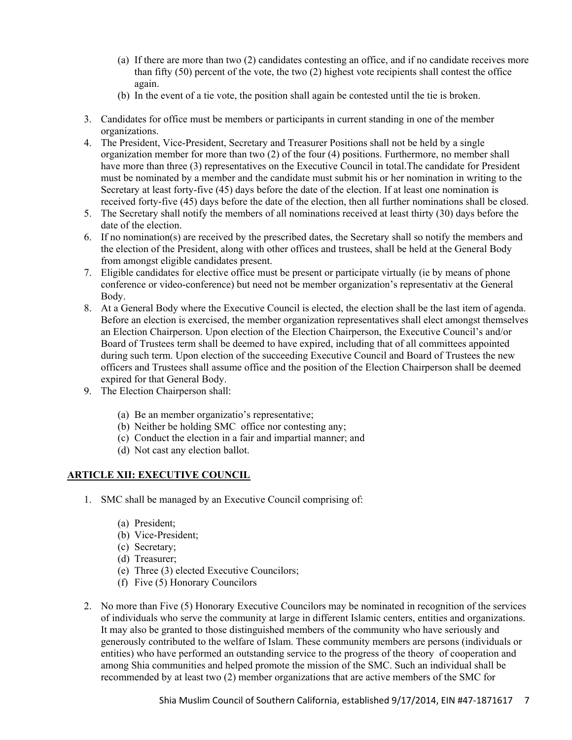- (a) If there are more than two (2) candidates contesting an office, and if no candidate receives more than fifty (50) percent of the vote, the two (2) highest vote recipients shall contest the office again.
- (b) In the event of a tie vote, the position shall again be contested until the tie is broken.
- 3. Candidates for office must be members or participants in current standing in one of the member organizations.
- 4. The President, Vice-President, Secretary and Treasurer Positions shall not be held by a single organization member for more than two (2) of the four (4) positions. Furthermore, no member shall have more than three (3) representatives on the Executive Council in total. The candidate for President must be nominated by a member and the candidate must submit his or her nomination in writing to the Secretary at least forty-five (45) days before the date of the election. If at least one nomination is received forty-five (45) days before the date of the election, then all further nominations shall be closed.
- 5. The Secretary shall notify the members of all nominations received at least thirty (30) days before the date of the election.
- 6. If no nomination(s) are received by the prescribed dates, the Secretary shall so notify the members and the election of the President, along with other offices and trustees, shall be held at the General Body from amongst eligible candidates present.
- 7. Eligible candidates for elective office must be present or participate virtually (ie by means of phone conference or video-conference) but need not be member organization's representativ at the General Body.
- 8. At a General Body where the Executive Council is elected, the election shall be the last item of agenda. Before an election is exercised, the member organization representatives shall elect amongst themselves an Election Chairperson. Upon election of the Election Chairperson, the Executive Council's and/or Board of Trustees term shall be deemed to have expired, including that of all committees appointed during such term. Upon election of the succeeding Executive Council and Board of Trustees the new officers and Trustees shall assume office and the position of the Election Chairperson shall be deemed expired for that General Body.
- 9. The Election Chairperson shall:
	- (a) Be an member organizatio's representative;
	- (b) Neither be holding SMC office nor contesting any;
	- (c) Conduct the election in a fair and impartial manner; and
	- (d) Not cast any election ballot.

## **ARTICLE XII: EXECUTIVE COUNCIL**

- 1. SMC shall be managed by an Executive Council comprising of:
	- (a) President;
	- (b) Vice-President;
	- (c) Secretary;
	- (d) Treasurer;
	- (e) Three (3) elected Executive Councilors;
	- (f) Five (5) Honorary Councilors
- 2. No more than Five (5) Honorary Executive Councilors may be nominated in recognition of the services of individuals who serve the community at large in different Islamic centers, entities and organizations. It may also be granted to those distinguished members of the community who have seriously and generously contributed to the welfare of Islam. These community members are persons (individuals or entities) who have performed an outstanding service to the progress of the theory of cooperation and among Shia communities and helped promote the mission of the SMC. Such an individual shall be recommended by at least two (2) member organizations that are active members of the SMC for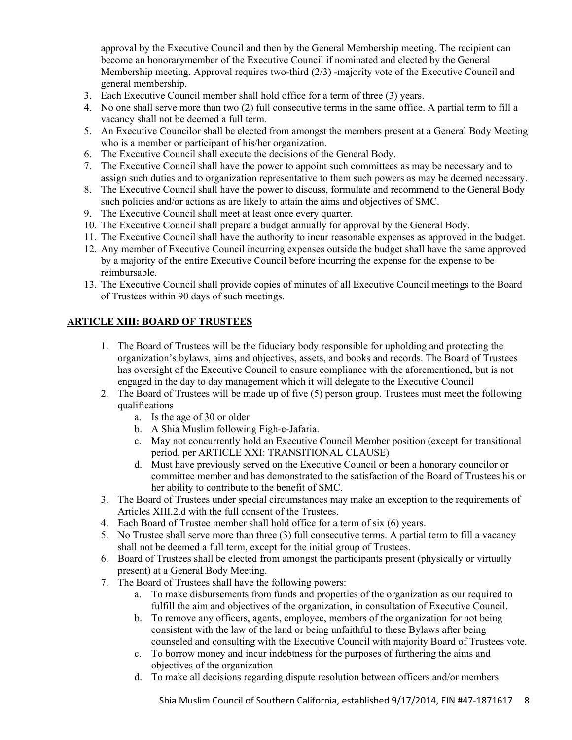approval by the Executive Council and then by the General Membership meeting. The recipient can become an honorarymember of the Executive Council if nominated and elected by the General Membership meeting. Approval requires two-third (2/3) -majority vote of the Executive Council and general membership.

- 3. Each Executive Council member shall hold office for a term of three (3) years.
- 4. No one shall serve more than two (2) full consecutive terms in the same office. A partial term to fill a vacancy shall not be deemed a full term.
- 5. An Executive Councilor shall be elected from amongst the members present at a General Body Meeting who is a member or participant of his/her organization.
- 6. The Executive Council shall execute the decisions of the General Body.
- 7. The Executive Council shall have the power to appoint such committees as may be necessary and to assign such duties and to organization representative to them such powers as may be deemed necessary.
- 8. The Executive Council shall have the power to discuss, formulate and recommend to the General Body such policies and/or actions as are likely to attain the aims and objectives of SMC.
- 9. The Executive Council shall meet at least once every quarter.
- 10. The Executive Council shall prepare a budget annually for approval by the General Body.
- 11. The Executive Council shall have the authority to incur reasonable expenses as approved in the budget.
- 12. Any member of Executive Council incurring expenses outside the budget shall have the same approved by a majority of the entire Executive Council before incurring the expense for the expense to be reimbursable.
- 13. The Executive Council shall provide copies of minutes of all Executive Council meetings to the Board of Trustees within 90 days of such meetings.

## **ARTICLE XIII: BOARD OF TRUSTEES**

- 1. The Board of Trustees will be the fiduciary body responsible for upholding and protecting the organization's bylaws, aims and objectives, assets, and books and records. The Board of Trustees has oversight of the Executive Council to ensure compliance with the aforementioned, but is not engaged in the day to day management which it will delegate to the Executive Council
- 2. The Board of Trustees will be made up of five (5) person group. Trustees must meet the following qualifications
	- a. Is the age of 30 or older
	- b. A Shia Muslim following Figh-e-Jafaria.
	- c. May not concurrently hold an Executive Council Member position (except for transitional period, per ARTICLE XXI: TRANSITIONAL CLAUSE)
	- d. Must have previously served on the Executive Council or been a honorary councilor or committee member and has demonstrated to the satisfaction of the Board of Trustees his or her ability to contribute to the benefit of SMC.
- 3. The Board of Trustees under special circumstances may make an exception to the requirements of Articles XIII.2.d with the full consent of the Trustees.
- 4. Each Board of Trustee member shall hold office for a term of six (6) years.
- 5. No Trustee shall serve more than three (3) full consecutive terms. A partial term to fill a vacancy shall not be deemed a full term, except for the initial group of Trustees.
- 6. Board of Trustees shall be elected from amongst the participants present (physically or virtually present) at a General Body Meeting.
- 7. The Board of Trustees shall have the following powers:
	- a. To make disbursements from funds and properties of the organization as our required to fulfill the aim and objectives of the organization, in consultation of Executive Council.
	- b. To remove any officers, agents, employee, members of the organization for not being consistent with the law of the land or being unfaithful to these Bylaws after being counseled and consulting with the Executive Council with majority Board of Trustees vote.
	- c. To borrow money and incur indebtness for the purposes of furthering the aims and objectives of the organization
	- d. To make all decisions regarding dispute resolution between officers and/or members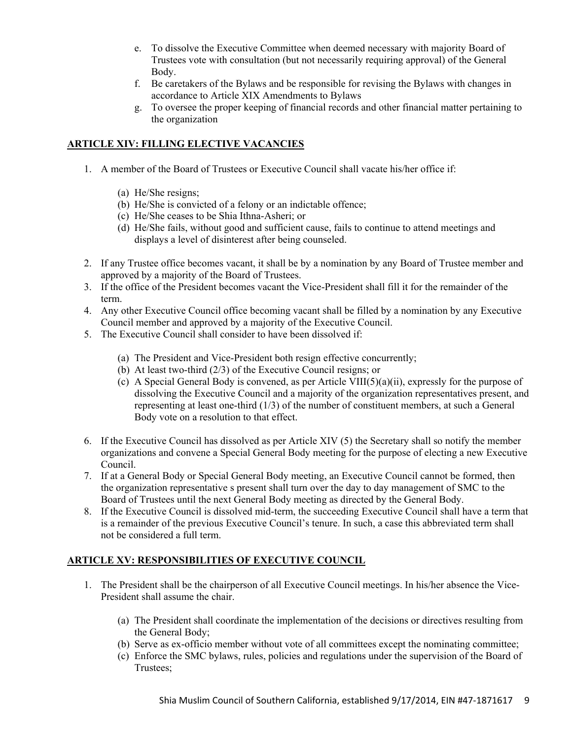- e. To dissolve the Executive Committee when deemed necessary with majority Board of Trustees vote with consultation (but not necessarily requiring approval) of the General Body.
- f. Be caretakers of the Bylaws and be responsible for revising the Bylaws with changes in accordance to Article XIX Amendments to Bylaws
- g. To oversee the proper keeping of financial records and other financial matter pertaining to the organization

## **ARTICLE XIV: FILLING ELECTIVE VACANCIES**

- 1. A member of the Board of Trustees or Executive Council shall vacate his/her office if:
	- (a) He/She resigns;
	- (b) He/She is convicted of a felony or an indictable offence;
	- (c) He/She ceases to be Shia Ithna-Asheri; or
	- (d) He/She fails, without good and sufficient cause, fails to continue to attend meetings and displays a level of disinterest after being counseled.
- 2. If any Trustee office becomes vacant, it shall be by a nomination by any Board of Trustee member and approved by a majority of the Board of Trustees.
- 3. If the office of the President becomes vacant the Vice-President shall fill it for the remainder of the term.
- 4. Any other Executive Council office becoming vacant shall be filled by a nomination by any Executive Council member and approved by a majority of the Executive Council.
- 5. The Executive Council shall consider to have been dissolved if:
	- (a) The President and Vice-President both resign effective concurrently;
	- (b) At least two-third (2/3) of the Executive Council resigns; or
	- (c) A Special General Body is convened, as per Article VIII(5)(a)(ii), expressly for the purpose of dissolving the Executive Council and a majority of the organization representatives present, and representing at least one-third (1/3) of the number of constituent members, at such a General Body vote on a resolution to that effect.
- 6. If the Executive Council has dissolved as per Article XIV (5) the Secretary shall so notify the member organizations and convene a Special General Body meeting for the purpose of electing a new Executive Council.
- 7. If at a General Body or Special General Body meeting, an Executive Council cannot be formed, then the organization representative s present shall turn over the day to day management of SMC to the Board of Trustees until the next General Body meeting as directed by the General Body.
- 8. If the Executive Council is dissolved mid-term, the succeeding Executive Council shall have a term that is a remainder of the previous Executive Council's tenure. In such, a case this abbreviated term shall not be considered a full term.

## **ARTICLE XV: RESPONSIBILITIES OF EXECUTIVE COUNCIL**

- 1. The President shall be the chairperson of all Executive Council meetings. In his/her absence the Vice-President shall assume the chair.
	- (a) The President shall coordinate the implementation of the decisions or directives resulting from the General Body;
	- (b) Serve as ex-officio member without vote of all committees except the nominating committee;
	- (c) Enforce the SMC bylaws, rules, policies and regulations under the supervision of the Board of Trustees;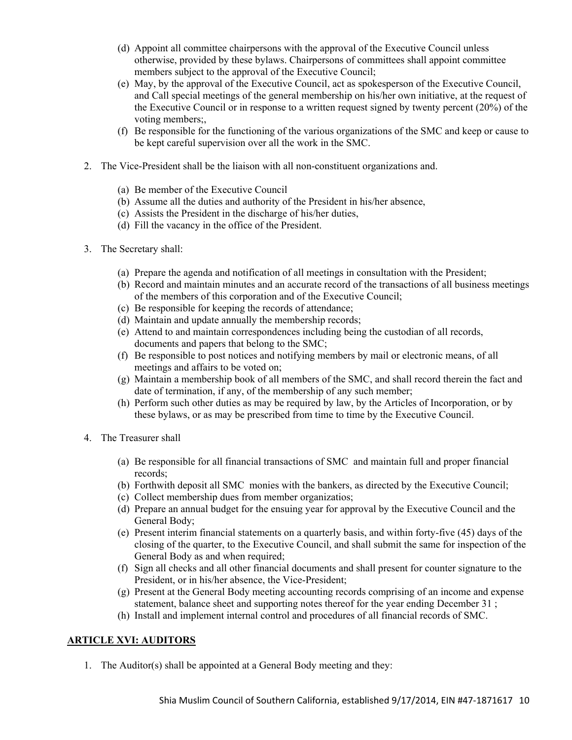- (d) Appoint all committee chairpersons with the approval of the Executive Council unless otherwise, provided by these bylaws. Chairpersons of committees shall appoint committee members subject to the approval of the Executive Council;
- (e) May, by the approval of the Executive Council, act as spokesperson of the Executive Council, and Call special meetings of the general membership on his/her own initiative, at the request of the Executive Council or in response to a written request signed by twenty percent (20%) of the voting members;,
- (f) Be responsible for the functioning of the various organizations of the SMC and keep or cause to be kept careful supervision over all the work in the SMC.
- 2. The Vice-President shall be the liaison with all non-constituent organizations and.
	- (a) Be member of the Executive Council
	- (b) Assume all the duties and authority of the President in his/her absence,
	- (c) Assists the President in the discharge of his/her duties,
	- (d) Fill the vacancy in the office of the President.
- 3. The Secretary shall:
	- (a) Prepare the agenda and notification of all meetings in consultation with the President;
	- (b) Record and maintain minutes and an accurate record of the transactions of all business meetings of the members of this corporation and of the Executive Council;
	- (c) Be responsible for keeping the records of attendance;
	- (d) Maintain and update annually the membership records;
	- (e) Attend to and maintain correspondences including being the custodian of all records, documents and papers that belong to the SMC;
	- (f) Be responsible to post notices and notifying members by mail or electronic means, of all meetings and affairs to be voted on;
	- (g) Maintain a membership book of all members of the SMC, and shall record therein the fact and date of termination, if any, of the membership of any such member;
	- (h) Perform such other duties as may be required by law, by the Articles of Incorporation, or by these bylaws, or as may be prescribed from time to time by the Executive Council.
- 4. The Treasurer shall
	- (a) Be responsible for all financial transactions of SMC and maintain full and proper financial records;
	- (b) Forthwith deposit all SMC monies with the bankers, as directed by the Executive Council;
	- (c) Collect membership dues from member organizatios;
	- (d) Prepare an annual budget for the ensuing year for approval by the Executive Council and the General Body;
	- (e) Present interim financial statements on a quarterly basis, and within forty-five (45) days of the closing of the quarter, to the Executive Council, and shall submit the same for inspection of the General Body as and when required;
	- (f) Sign all checks and all other financial documents and shall present for counter signature to the President, or in his/her absence, the Vice-President;
	- (g) Present at the General Body meeting accounting records comprising of an income and expense statement, balance sheet and supporting notes thereof for the year ending December 31 ;
	- (h) Install and implement internal control and procedures of all financial records of SMC.

## **ARTICLE XVI: AUDITORS**

1. The Auditor(s) shall be appointed at a General Body meeting and they: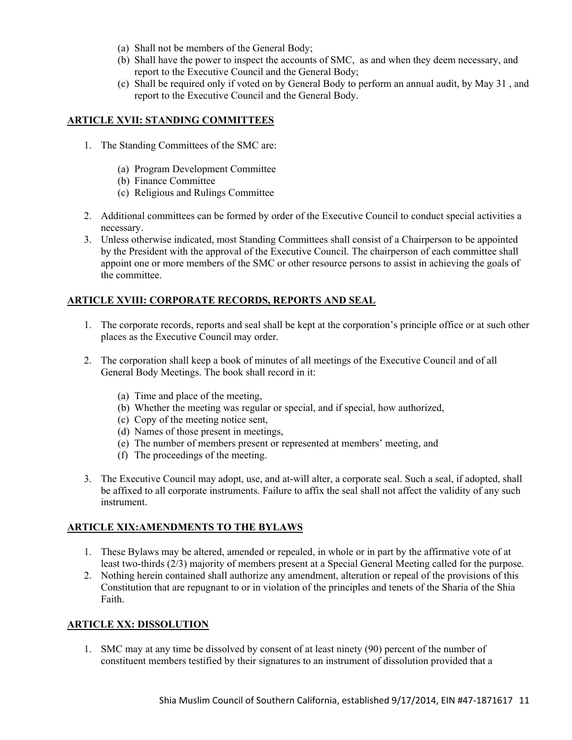- (a) Shall not be members of the General Body;
- (b) Shall have the power to inspect the accounts of SMC, as and when they deem necessary, and report to the Executive Council and the General Body;
- (c) Shall be required only if voted on by General Body to perform an annual audit, by May 31 , and report to the Executive Council and the General Body.

# **ARTICLE XVII: STANDING COMMITTEES**

- 1. The Standing Committees of the SMC are:
	- (a) Program Development Committee
	- (b) Finance Committee
	- (c) Religious and Rulings Committee
- 2. Additional committees can be formed by order of the Executive Council to conduct special activities a necessary.
- 3. Unless otherwise indicated, most Standing Committees shall consist of a Chairperson to be appointed by the President with the approval of the Executive Council. The chairperson of each committee shall appoint one or more members of the SMC or other resource persons to assist in achieving the goals of the committee.

# **ARTICLE XVIII: CORPORATE RECORDS, REPORTS AND SEAL**

- 1. The corporate records, reports and seal shall be kept at the corporation's principle office or at such other places as the Executive Council may order.
- 2. The corporation shall keep a book of minutes of all meetings of the Executive Council and of all General Body Meetings. The book shall record in it:
	- (a) Time and place of the meeting,
	- (b) Whether the meeting was regular or special, and if special, how authorized,
	- (c) Copy of the meeting notice sent,
	- (d) Names of those present in meetings,
	- (e) The number of members present or represented at members' meeting, and
	- (f) The proceedings of the meeting.
- 3. The Executive Council may adopt, use, and at-will alter, a corporate seal. Such a seal, if adopted, shall be affixed to all corporate instruments. Failure to affix the seal shall not affect the validity of any such instrument.

## **ARTICLE XIX:AMENDMENTS TO THE BYLAWS**

- 1. These Bylaws may be altered, amended or repealed, in whole or in part by the affirmative vote of at least two-thirds (2/3) majority of members present at a Special General Meeting called for the purpose.
- 2. Nothing herein contained shall authorize any amendment, alteration or repeal of the provisions of this Constitution that are repugnant to or in violation of the principles and tenets of the Sharia of the Shia Faith.

## **ARTICLE XX: DISSOLUTION**

1. SMC may at any time be dissolved by consent of at least ninety (90) percent of the number of constituent members testified by their signatures to an instrument of dissolution provided that a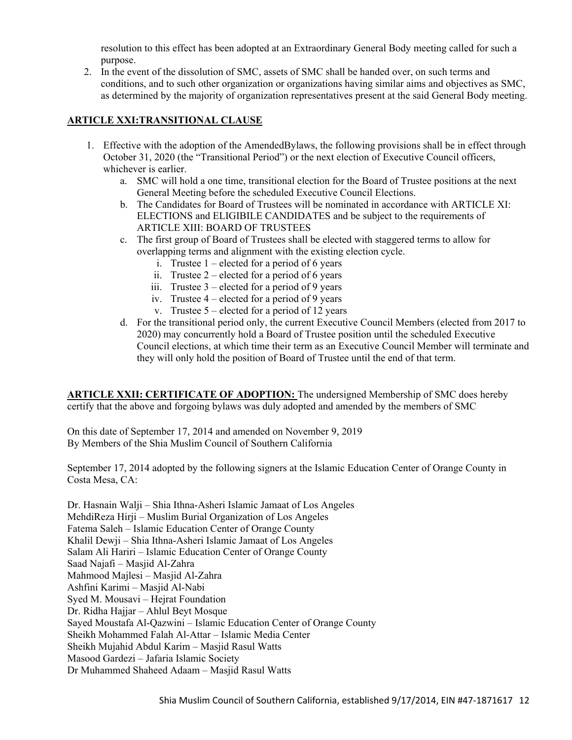resolution to this effect has been adopted at an Extraordinary General Body meeting called for such a purpose.

2. In the event of the dissolution of SMC, assets of SMC shall be handed over, on such terms and conditions, and to such other organization or organizations having similar aims and objectives as SMC, as determined by the majority of organization representatives present at the said General Body meeting.

# **ARTICLE XXI:TRANSITIONAL CLAUSE**

- 1. Effective with the adoption of the AmendedBylaws, the following provisions shall be in effect through October 31, 2020 (the "Transitional Period") or the next election of Executive Council officers, whichever is earlier.
	- a. SMC will hold a one time, transitional election for the Board of Trustee positions at the next General Meeting before the scheduled Executive Council Elections.
	- b. The Candidates for Board of Trustees will be nominated in accordance with ARTICLE XI: ELECTIONS and ELIGIBILE CANDIDATES and be subject to the requirements of ARTICLE XIII: BOARD OF TRUSTEES
	- c. The first group of Board of Trustees shall be elected with staggered terms to allow for overlapping terms and alignment with the existing election cycle.
		- i. Trustee  $1$  elected for a period of 6 years
		- ii. Trustee  $2$  elected for a period of 6 years
		- iii. Trustee  $3$  elected for a period of 9 years
		- iv. Trustee 4 elected for a period of 9 years
		- v. Trustee  $5$  elected for a period of 12 years
	- d. For the transitional period only, the current Executive Council Members (elected from 2017 to 2020) may concurrently hold a Board of Trustee position until the scheduled Executive Council elections, at which time their term as an Executive Council Member will terminate and they will only hold the position of Board of Trustee until the end of that term.

**ARTICLE XXII: CERTIFICATE OF ADOPTION:** The undersigned Membership of SMC does hereby certify that the above and forgoing bylaws was duly adopted and amended by the members of SMC

On this date of September 17, 2014 and amended on November 9, 2019 By Members of the Shia Muslim Council of Southern California

September 17, 2014 adopted by the following signers at the Islamic Education Center of Orange County in Costa Mesa, CA:

Dr. Hasnain Walji – Shia Ithna-Asheri Islamic Jamaat of Los Angeles MehdiReza Hirji – Muslim Burial Organization of Los Angeles Fatema Saleh – Islamic Education Center of Orange County Khalil Dewji – Shia Ithna-Asheri Islamic Jamaat of Los Angeles Salam Ali Hariri – Islamic Education Center of Orange County Saad Najafi – Masjid Al-Zahra Mahmood Majlesi – Masjid Al-Zahra Ashfini Karimi – Masjid Al-Nabi Syed M. Mousavi – Hejrat Foundation Dr. Ridha Hajjar – Ahlul Beyt Mosque Sayed Moustafa Al-Qazwini – Islamic Education Center of Orange County Sheikh Mohammed Falah Al-Attar – Islamic Media Center Sheikh Mujahid Abdul Karim – Masjid Rasul Watts Masood Gardezi – Jafaria Islamic Society Dr Muhammed Shaheed Adaam – Masjid Rasul Watts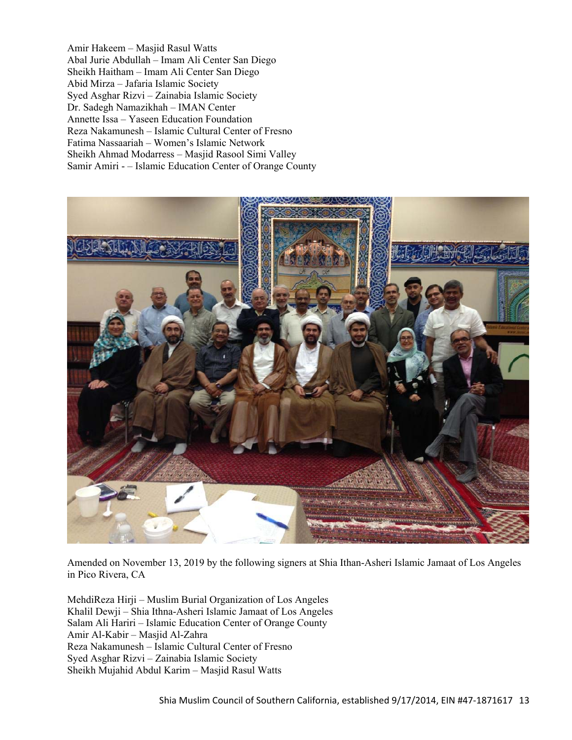Amir Hakeem – Masjid Rasul Watts Abal Jurie Abdullah – Imam Ali Center San Diego Sheikh Haitham – Imam Ali Center San Diego Abid Mirza – Jafaria Islamic Society Syed Asghar Rizvi – Zainabia Islamic Society Dr. Sadegh Namazikhah – IMAN Center Annette Issa – Yaseen Education Foundation Reza Nakamunesh – Islamic Cultural Center of Fresno Fatima Nassaariah – Women's Islamic Network Sheikh Ahmad Modarress – Masjid Rasool Simi Valley Samir Amiri - – Islamic Education Center of Orange County



Amended on November 13, 2019 by the following signers at Shia Ithan-Asheri Islamic Jamaat of Los Angeles in Pico Rivera, CA

MehdiReza Hirji – Muslim Burial Organization of Los Angeles Khalil Dewji – Shia Ithna-Asheri Islamic Jamaat of Los Angeles Salam Ali Hariri – Islamic Education Center of Orange County Amir Al-Kabir – Masjid Al-Zahra Reza Nakamunesh – Islamic Cultural Center of Fresno Syed Asghar Rizvi – Zainabia Islamic Society Sheikh Mujahid Abdul Karim – Masjid Rasul Watts